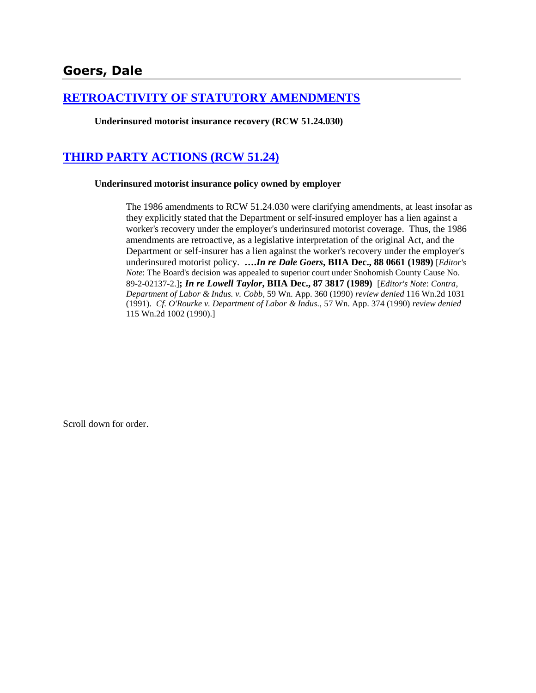## **[RETROACTIVITY OF STATUTORY AMENDMENTS](http://www.biia.wa.gov/SDSubjectIndex.html#RETROACTIVITY_OF_STATUTORY_AMENDMENTS)**

**Underinsured motorist insurance recovery (RCW 51.24.030)**

# **[THIRD PARTY ACTIONS \(RCW 51.24\)](http://www.biia.wa.gov/SDSubjectIndex.html#THIRD_PARTY_ACTIONS)**

### **Underinsured motorist insurance policy owned by employer**

The 1986 amendments to RCW 51.24.030 were clarifying amendments, at least insofar as they explicitly stated that the Department or self-insured employer has a lien against a worker's recovery under the employer's underinsured motorist coverage. Thus, the 1986 amendments are retroactive, as a legislative interpretation of the original Act, and the Department or self-insurer has a lien against the worker's recovery under the employer's underinsured motorist policy. **….***In re Dale Goers***, BIIA Dec., 88 0661 (1989)** [*Editor's Note*: The Board's decision was appealed to superior court under Snohomish County Cause No. 89-2-02137-2.]**;** *In re Lowell Taylor***, BIIA Dec., 87 3817 (1989)** [*Editor's Note*: *Contra*, *Department of Labor & Indus. v. Cobb*, 59 Wn. App. 360 (1990) *review denied* 116 Wn.2d 1031 (1991). *Cf. O'Rourke v. Department of Labor & Indus.,* 57 Wn. App. 374 (1990) *review denied* 115 Wn.2d 1002 (1990).]

Scroll down for order.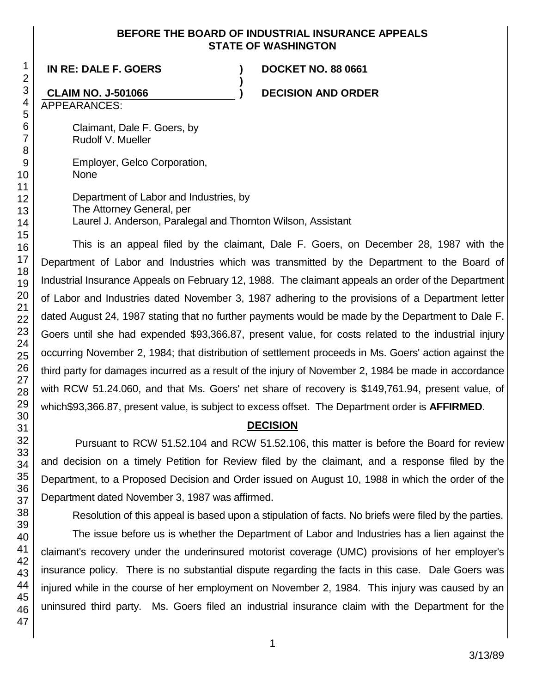### **BEFORE THE BOARD OF INDUSTRIAL INSURANCE APPEALS STATE OF WASHINGTON**

**)**

**IN RE: DALE F. GOERS ) DOCKET NO. 88 0661**

**CLAIM NO. J-501066 ) DECISION AND ORDER**

APPEARANCES:

Claimant, Dale F. Goers, by Rudolf V. Mueller

Employer, Gelco Corporation, None

Department of Labor and Industries, by The Attorney General, per Laurel J. Anderson, Paralegal and Thornton Wilson, Assistant

This is an appeal filed by the claimant, Dale F. Goers, on December 28, 1987 with the Department of Labor and Industries which was transmitted by the Department to the Board of Industrial Insurance Appeals on February 12, 1988. The claimant appeals an order of the Department of Labor and Industries dated November 3, 1987 adhering to the provisions of a Department letter dated August 24, 1987 stating that no further payments would be made by the Department to Dale F. Goers until she had expended \$93,366.87, present value, for costs related to the industrial injury occurring November 2, 1984; that distribution of settlement proceeds in Ms. Goers' action against the third party for damages incurred as a result of the injury of November 2, 1984 be made in accordance with RCW 51.24.060, and that Ms. Goers' net share of recovery is \$149,761.94, present value, of which\$93,366.87, present value, is subject to excess offset. The Department order is **AFFIRMED**.

## **DECISION**

Pursuant to RCW 51.52.104 and RCW 51.52.106, this matter is before the Board for review and decision on a timely Petition for Review filed by the claimant, and a response filed by the Department, to a Proposed Decision and Order issued on August 10, 1988 in which the order of the Department dated November 3, 1987 was affirmed.

Resolution of this appeal is based upon a stipulation of facts. No briefs were filed by the parties.

The issue before us is whether the Department of Labor and Industries has a lien against the claimant's recovery under the underinsured motorist coverage (UMC) provisions of her employer's insurance policy. There is no substantial dispute regarding the facts in this case. Dale Goers was injured while in the course of her employment on November 2, 1984. This injury was caused by an uninsured third party. Ms. Goers filed an industrial insurance claim with the Department for the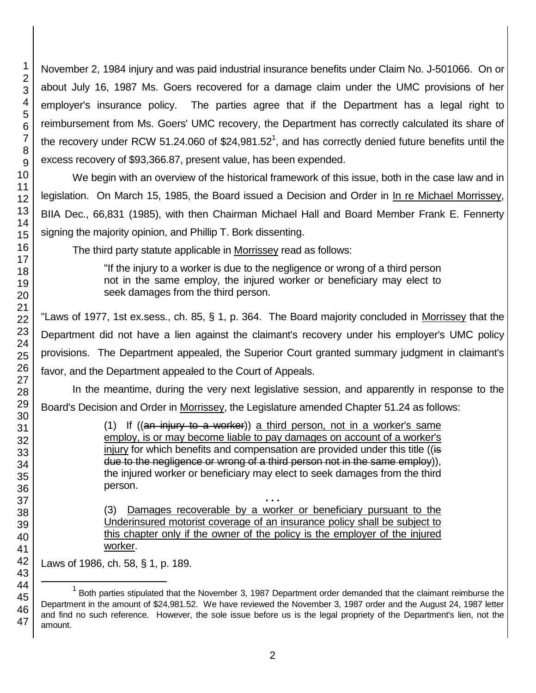November 2, 1984 injury and was paid industrial insurance benefits under Claim No. J-501066. On or about July 16, 1987 Ms. Goers recovered for a damage claim under the UMC provisions of her employer's insurance policy. The parties agree that if the Department has a legal right to reimbursement from Ms. Goers' UMC recovery, the Department has correctly calculated its share of the recovery under RCW 51.24.060 of \$24,981.52<sup>1</sup>, and has correctly denied future benefits until the excess recovery of \$93,366.87, present value, has been expended.

We begin with an overview of the historical framework of this issue, both in the case law and in legislation. On March 15, 1985, the Board issued a Decision and Order in In re Michael Morrissey, BIIA Dec., 66,831 (1985), with then Chairman Michael Hall and Board Member Frank E. Fennerty signing the majority opinion, and Phillip T. Bork dissenting.

The third party statute applicable in Morrissey read as follows:

"If the injury to a worker is due to the negligence or wrong of a third person not in the same employ, the injured worker or beneficiary may elect to seek damages from the third person.

"Laws of 1977, 1st ex.sess., ch. 85, § 1, p. 364. The Board majority concluded in Morrissey that the Department did not have a lien against the claimant's recovery under his employer's UMC policy provisions. The Department appealed, the Superior Court granted summary judgment in claimant's favor, and the Department appealed to the Court of Appeals.

In the meantime, during the very next legislative session, and apparently in response to the Board's Decision and Order in Morrissey, the Legislature amended Chapter 51.24 as follows:

> (1) If  $((an injury to a worker))$  a third person, not in a worker's same employ, is or may become liable to pay damages on account of a worker's injury for which benefits and compensation are provided under this title ((is due to the negligence or wrong of a third person not in the same employ)), the injured worker or beneficiary may elect to seek damages from the third person.

> **. . .** (3) Damages recoverable by a worker or beneficiary pursuant to the Underinsured motorist coverage of an insurance policy shall be subject to this chapter only if the owner of the policy is the employer of the injured worker.

Laws of 1986, ch. 58, § 1, p. 189.

l

 $1$  Both parties stipulated that the November 3, 1987 Department order demanded that the claimant reimburse the Department in the amount of \$24,981.52. We have reviewed the November 3, 1987 order and the August 24, 1987 letter and find no such reference. However, the sole issue before us is the legal propriety of the Department's lien, not the amount.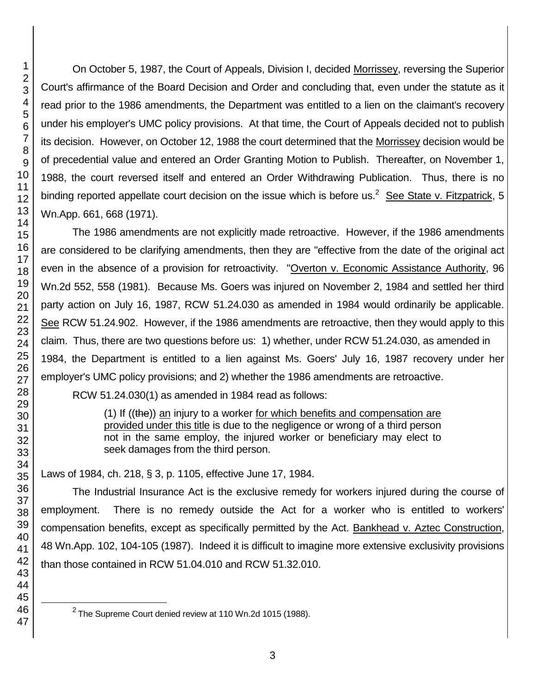l

On October 5, 1987, the Court of Appeals, Division I, decided Morrissey, reversing the Superior Court's affirmance of the Board Decision and Order and concluding that, even under the statute as it read prior to the 1986 amendments, the Department was entitled to a lien on the claimant's recovery under his employer's UMC policy provisions. At that time, the Court of Appeals decided not to publish its decision. However, on October 12, 1988 the court determined that the Morrissey decision would be of precedential value and entered an Order Granting Motion to Publish. Thereafter, on November 1, 1988, the court reversed itself and entered an Order Withdrawing Publication. Thus, there is no binding reported appellate court decision on the issue which is before us.<sup>2</sup> See State v. Fitzpatrick, 5 Wn.App. 661, 668 (1971).

The 1986 amendments are not explicitly made retroactive. However, if the 1986 amendments are considered to be clarifying amendments, then they are "effective from the date of the original act even in the absence of a provision for retroactivity. "Overton v. Economic Assistance Authority, 96 Wn.2d 552, 558 (1981). Because Ms. Goers was injured on November 2, 1984 and settled her third party action on July 16, 1987, RCW 51.24.030 as amended in 1984 would ordinarily be applicable. See RCW 51.24.902. However, if the 1986 amendments are retroactive, then they would apply to this claim. Thus, there are two questions before us: 1) whether, under RCW 51.24.030, as amended in 1984, the Department is entitled to a lien against Ms. Goers' July 16, 1987 recovery under her employer's UMC policy provisions; and 2) whether the 1986 amendments are retroactive.

RCW 51.24.030(1) as amended in 1984 read as follows:

(1) If ((the)) an injury to a worker for which benefits and compensation are provided under this title is due to the negligence or wrong of a third person not in the same employ, the injured worker or beneficiary may elect to seek damages from the third person.

Laws of 1984, ch. 218, § 3, p. 1105, effective June 17, 1984.

The Industrial Insurance Act is the exclusive remedy for workers injured during the course of employment. There is no remedy outside the Act for a worker who is entitled to workers' compensation benefits, except as specifically permitted by the Act. Bankhead v. Aztec Construction, 48 Wn.App. 102, 104-105 (1987). Indeed it is difficult to imagine more extensive exclusivity provisions than those contained in RCW 51.04.010 and RCW 51.32.010.

The Supreme Court denied review at 110 Wn.2d 1015 (1988).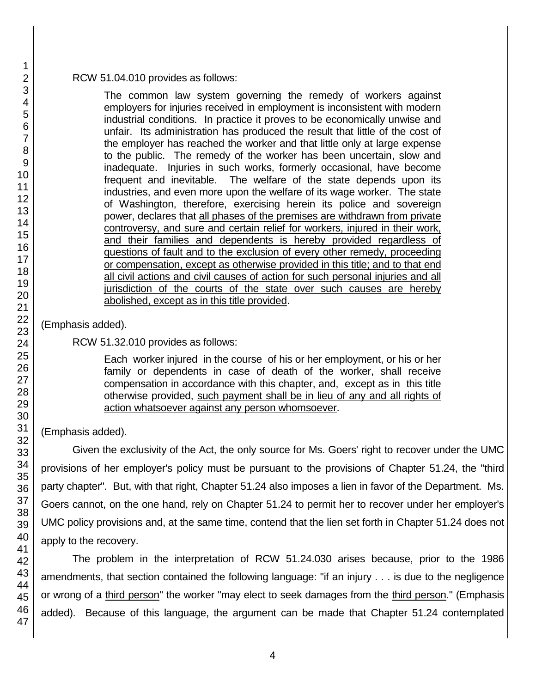### RCW 51.04.010 provides as follows:

The common law system governing the remedy of workers against employers for injuries received in employment is inconsistent with modern industrial conditions. In practice it proves to be economically unwise and unfair. Its administration has produced the result that little of the cost of the employer has reached the worker and that little only at large expense to the public. The remedy of the worker has been uncertain, slow and inadequate. Injuries in such works, formerly occasional, have become frequent and inevitable. The welfare of the state depends upon its industries, and even more upon the welfare of its wage worker. The state of Washington, therefore, exercising herein its police and sovereign power, declares that all phases of the premises are withdrawn from private controversy, and sure and certain relief for workers, injured in their work, and their families and dependents is hereby provided regardless of questions of fault and to the exclusion of every other remedy, proceeding or compensation, except as otherwise provided in this title; and to that end all civil actions and civil causes of action for such personal injuries and all jurisdiction of the courts of the state over such causes are hereby abolished, except as in this title provided.

(Emphasis added).

RCW 51.32.010 provides as follows:

Each worker injured in the course of his or her employment, or his or her family or dependents in case of death of the worker, shall receive compensation in accordance with this chapter, and, except as in this title otherwise provided, such payment shall be in lieu of any and all rights of action whatsoever against any person whomsoever.

(Emphasis added).

Given the exclusivity of the Act, the only source for Ms. Goers' right to recover under the UMC provisions of her employer's policy must be pursuant to the provisions of Chapter 51.24, the "third party chapter". But, with that right, Chapter 51.24 also imposes a lien in favor of the Department. Ms. Goers cannot, on the one hand, rely on Chapter 51.24 to permit her to recover under her employer's UMC policy provisions and, at the same time, contend that the lien set forth in Chapter 51.24 does not apply to the recovery.

The problem in the interpretation of RCW 51.24.030 arises because, prior to the 1986 amendments, that section contained the following language: "if an injury . . . is due to the negligence or wrong of a third person" the worker "may elect to seek damages from the third person." (Emphasis added). Because of this language, the argument can be made that Chapter 51.24 contemplated

1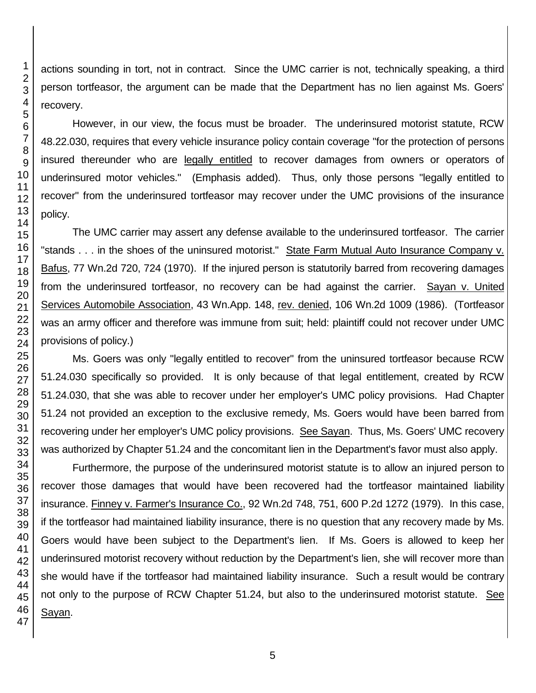actions sounding in tort, not in contract. Since the UMC carrier is not, technically speaking, a third person tortfeasor, the argument can be made that the Department has no lien against Ms. Goers' recovery.

However, in our view, the focus must be broader. The underinsured motorist statute, RCW 48.22.030, requires that every vehicle insurance policy contain coverage "for the protection of persons insured thereunder who are legally entitled to recover damages from owners or operators of underinsured motor vehicles." (Emphasis added). Thus, only those persons "legally entitled to recover" from the underinsured tortfeasor may recover under the UMC provisions of the insurance policy.

The UMC carrier may assert any defense available to the underinsured tortfeasor. The carrier "stands . . . in the shoes of the uninsured motorist." State Farm Mutual Auto Insurance Company v. Bafus, 77 Wn.2d 720, 724 (1970). If the injured person is statutorily barred from recovering damages from the underinsured tortfeasor, no recovery can be had against the carrier. Sayan v. United Services Automobile Association, 43 Wn.App. 148, rev. denied, 106 Wn.2d 1009 (1986). (Tortfeasor was an army officer and therefore was immune from suit; held: plaintiff could not recover under UMC provisions of policy.)

Ms. Goers was only "legally entitled to recover" from the uninsured tortfeasor because RCW 51.24.030 specifically so provided. It is only because of that legal entitlement, created by RCW 51.24.030, that she was able to recover under her employer's UMC policy provisions. Had Chapter 51.24 not provided an exception to the exclusive remedy, Ms. Goers would have been barred from recovering under her employer's UMC policy provisions. See Sayan. Thus, Ms. Goers' UMC recovery was authorized by Chapter 51.24 and the concomitant lien in the Department's favor must also apply.

Furthermore, the purpose of the underinsured motorist statute is to allow an injured person to recover those damages that would have been recovered had the tortfeasor maintained liability insurance. Finney v. Farmer's Insurance Co., 92 Wn.2d 748, 751, 600 P.2d 1272 (1979). In this case, if the tortfeasor had maintained liability insurance, there is no question that any recovery made by Ms. Goers would have been subject to the Department's lien. If Ms. Goers is allowed to keep her underinsured motorist recovery without reduction by the Department's lien, she will recover more than she would have if the tortfeasor had maintained liability insurance. Such a result would be contrary not only to the purpose of RCW Chapter 51.24, but also to the underinsured motorist statute. See Sayan.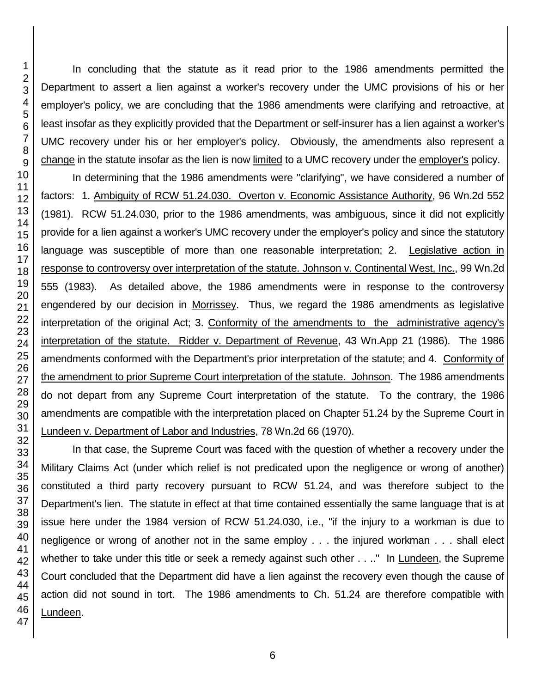In concluding that the statute as it read prior to the 1986 amendments permitted the Department to assert a lien against a worker's recovery under the UMC provisions of his or her employer's policy, we are concluding that the 1986 amendments were clarifying and retroactive, at least insofar as they explicitly provided that the Department or self-insurer has a lien against a worker's UMC recovery under his or her employer's policy. Obviously, the amendments also represent a change in the statute insofar as the lien is now limited to a UMC recovery under the employer's policy.

In determining that the 1986 amendments were "clarifying", we have considered a number of factors: 1. Ambiguity of RCW 51.24.030. Overton v. Economic Assistance Authority, 96 Wn.2d 552 (1981). RCW 51.24.030, prior to the 1986 amendments, was ambiguous, since it did not explicitly provide for a lien against a worker's UMC recovery under the employer's policy and since the statutory language was susceptible of more than one reasonable interpretation; 2. Legislative action in response to controversy over interpretation of the statute. Johnson v. Continental West, Inc., 99 Wn.2d 555 (1983). As detailed above, the 1986 amendments were in response to the controversy engendered by our decision in Morrissey. Thus, we regard the 1986 amendments as legislative interpretation of the original Act; 3. Conformity of the amendments to the administrative agency's interpretation of the statute. Ridder v. Department of Revenue, 43 Wn.App 21 (1986). The 1986 amendments conformed with the Department's prior interpretation of the statute; and 4. Conformity of the amendment to prior Supreme Court interpretation of the statute. Johnson. The 1986 amendments do not depart from any Supreme Court interpretation of the statute. To the contrary, the 1986 amendments are compatible with the interpretation placed on Chapter 51.24 by the Supreme Court in Lundeen v. Department of Labor and Industries, 78 Wn.2d 66 (1970).

In that case, the Supreme Court was faced with the question of whether a recovery under the Military Claims Act (under which relief is not predicated upon the negligence or wrong of another) constituted a third party recovery pursuant to RCW 51.24, and was therefore subject to the Department's lien. The statute in effect at that time contained essentially the same language that is at issue here under the 1984 version of RCW 51.24.030, i.e., "if the injury to a workman is due to negligence or wrong of another not in the same employ . . . the injured workman . . . shall elect whether to take under this title or seek a remedy against such other . . .." In Lundeen, the Supreme Court concluded that the Department did have a lien against the recovery even though the cause of action did not sound in tort. The 1986 amendments to Ch. 51.24 are therefore compatible with Lundeen.